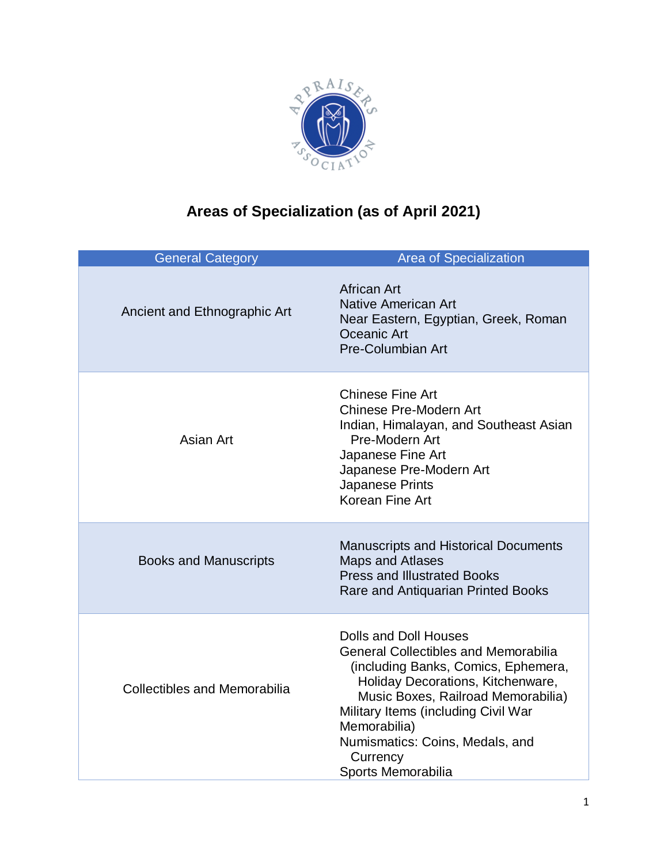

## **Areas of Specialization (as of April 2021)**

| <b>General Category</b>             | <b>Area of Specialization</b>                                                                                                                                                                                                                                                                                      |
|-------------------------------------|--------------------------------------------------------------------------------------------------------------------------------------------------------------------------------------------------------------------------------------------------------------------------------------------------------------------|
| Ancient and Ethnographic Art        | <b>African Art</b><br><b>Native American Art</b><br>Near Eastern, Egyptian, Greek, Roman<br>Oceanic Art<br><b>Pre-Columbian Art</b>                                                                                                                                                                                |
| Asian Art                           | <b>Chinese Fine Art</b><br><b>Chinese Pre-Modern Art</b><br>Indian, Himalayan, and Southeast Asian<br>Pre-Modern Art<br>Japanese Fine Art<br>Japanese Pre-Modern Art<br>Japanese Prints<br>Korean Fine Art                                                                                                         |
| <b>Books and Manuscripts</b>        | <b>Manuscripts and Historical Documents</b><br><b>Maps and Atlases</b><br><b>Press and Illustrated Books</b><br>Rare and Antiquarian Printed Books                                                                                                                                                                 |
| <b>Collectibles and Memorabilia</b> | Dolls and Doll Houses<br><b>General Collectibles and Memorabilia</b><br>(including Banks, Comics, Ephemera,<br>Holiday Decorations, Kitchenware,<br>Music Boxes, Railroad Memorabilia)<br>Military Items (including Civil War<br>Memorabilia)<br>Numismatics: Coins, Medals, and<br>Currency<br>Sports Memorabilia |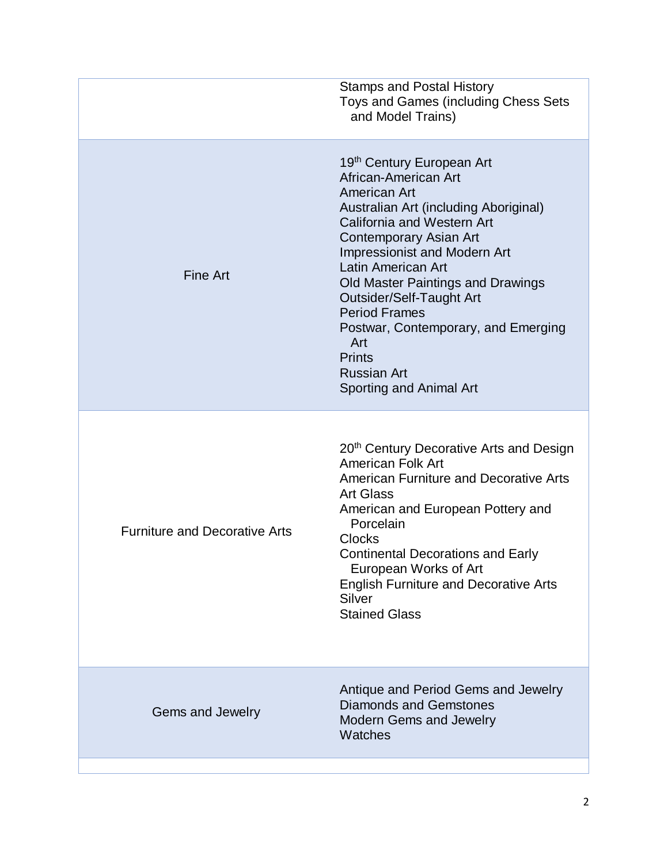|                                      | <b>Stamps and Postal History</b><br>Toys and Games (including Chess Sets<br>and Model Trains)                                                                                                                                                                                                                                                                                                                                                               |
|--------------------------------------|-------------------------------------------------------------------------------------------------------------------------------------------------------------------------------------------------------------------------------------------------------------------------------------------------------------------------------------------------------------------------------------------------------------------------------------------------------------|
| <b>Fine Art</b>                      | 19 <sup>th</sup> Century European Art<br>African-American Art<br>American Art<br>Australian Art (including Aboriginal)<br>California and Western Art<br>Contemporary Asian Art<br><b>Impressionist and Modern Art</b><br><b>Latin American Art</b><br>Old Master Paintings and Drawings<br>Outsider/Self-Taught Art<br><b>Period Frames</b><br>Postwar, Contemporary, and Emerging<br>Art<br><b>Prints</b><br><b>Russian Art</b><br>Sporting and Animal Art |
| <b>Furniture and Decorative Arts</b> | 20 <sup>th</sup> Century Decorative Arts and Design<br><b>American Folk Art</b><br><b>American Furniture and Decorative Arts</b><br><b>Art Glass</b><br>American and European Pottery and<br>Porcelain<br><b>Clocks</b><br><b>Continental Decorations and Early</b><br>European Works of Art<br><b>English Furniture and Decorative Arts</b><br>Silver<br><b>Stained Glass</b>                                                                              |
| Gems and Jewelry                     | Antique and Period Gems and Jewelry<br><b>Diamonds and Gemstones</b><br><b>Modern Gems and Jewelry</b><br>Watches                                                                                                                                                                                                                                                                                                                                           |
|                                      |                                                                                                                                                                                                                                                                                                                                                                                                                                                             |